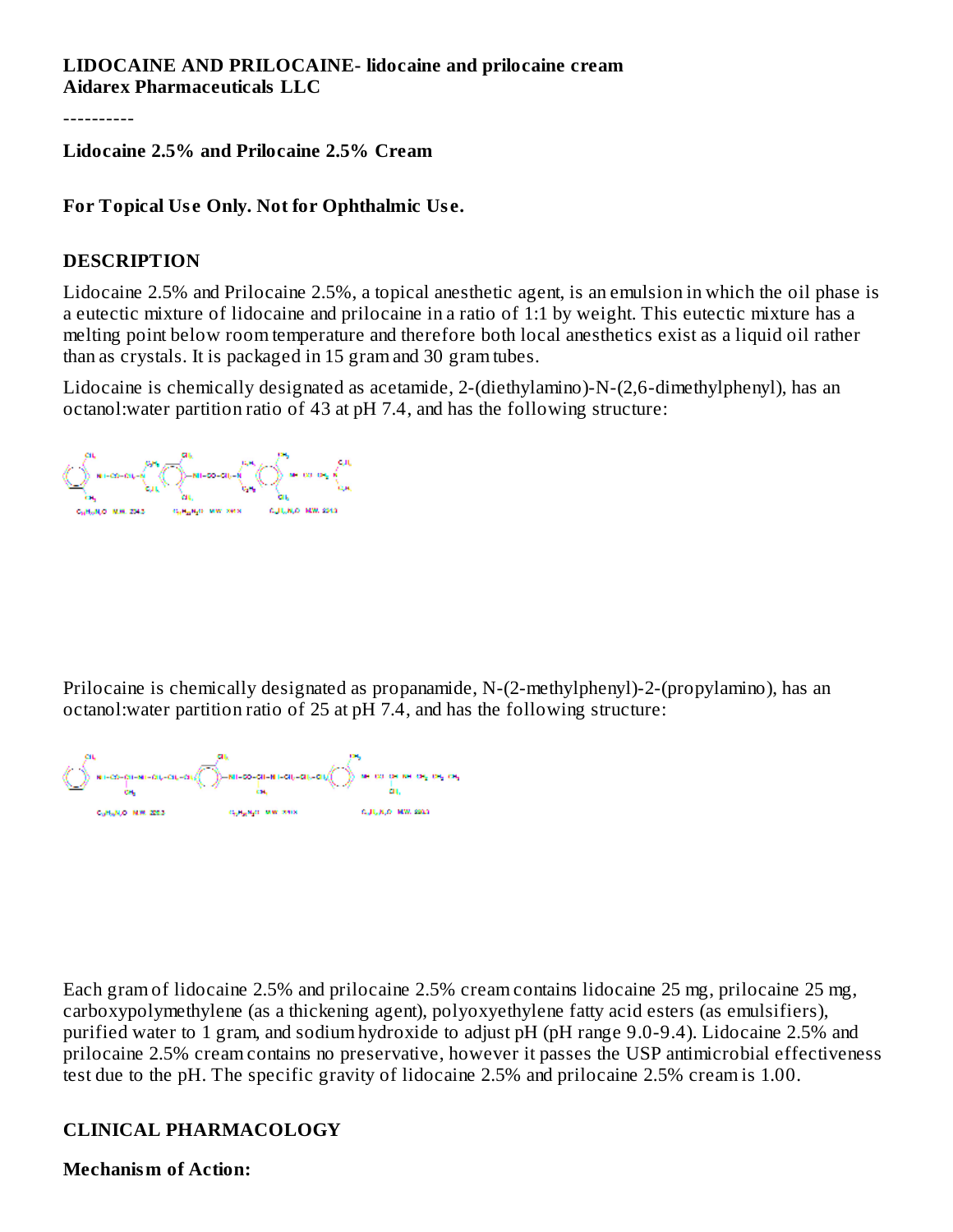#### **LIDOCAINE AND PRILOCAINE- lidocaine and prilocaine cream Aidarex Pharmaceuticals LLC**

----------

**Lidocaine 2.5% and Prilocaine 2.5% Cream**

#### **For Topical Us e Only. Not for Ophthalmic Us e.**

#### **DESCRIPTION**

Lidocaine 2.5% and Prilocaine 2.5%, a topical anesthetic agent, is an emulsion in which the oil phase is a eutectic mixture of lidocaine and prilocaine in a ratio of 1:1 by weight. This eutectic mixture has a melting point below room temperature and therefore both local anesthetics exist as a liquid oil rather than as crystals. It is packaged in 15 gram and 30 gram tubes.

Lidocaine is chemically designated as acetamide, 2-(diethylamino)-N-(2,6-dimethylphenyl), has an octanol:water partition ratio of 43 at pH 7.4, and has the following structure:

Prilocaine is chemically designated as propanamide, N-(2-methylphenyl)-2-(propylamino), has an octanol:water partition ratio of 25 at pH 7.4, and has the following structure:

Each gram of lidocaine 2.5% and prilocaine 2.5% cream contains lidocaine 25 mg, prilocaine 25 mg, carboxypolymethylene (as a thickening agent), polyoxyethylene fatty acid esters (as emulsifiers), purified water to 1 gram, and sodium hydroxide to adjust pH (pH range 9.0-9.4). Lidocaine 2.5% and prilocaine 2.5% cream contains no preservative, however it passes the USP antimicrobial effectiveness test due to the pH. The specific gravity of lidocaine 2.5% and prilocaine 2.5% cream is 1.00.

#### **CLINICAL PHARMACOLOGY**

**Mechanism of Action:**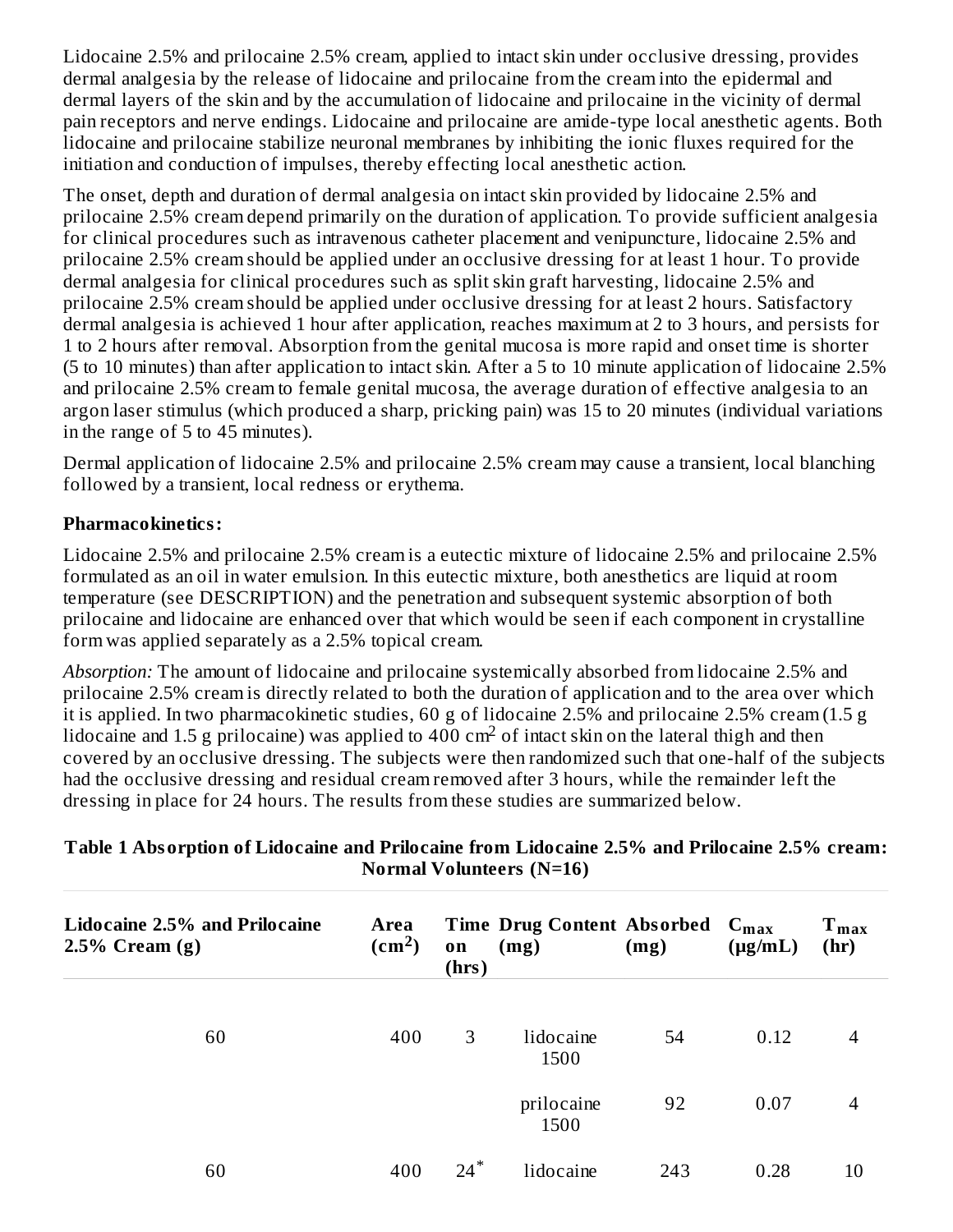Lidocaine 2.5% and prilocaine 2.5% cream, applied to intact skin under occlusive dressing, provides dermal analgesia by the release of lidocaine and prilocaine from the cream into the epidermal and dermal layers of the skin and by the accumulation of lidocaine and prilocaine in the vicinity of dermal pain receptors and nerve endings. Lidocaine and prilocaine are amide-type local anesthetic agents. Both lidocaine and prilocaine stabilize neuronal membranes by inhibiting the ionic fluxes required for the initiation and conduction of impulses, thereby effecting local anesthetic action.

The onset, depth and duration of dermal analgesia on intact skin provided by lidocaine 2.5% and prilocaine 2.5% cream depend primarily on the duration of application. To provide sufficient analgesia for clinical procedures such as intravenous catheter placement and venipuncture, lidocaine 2.5% and prilocaine 2.5% cream should be applied under an occlusive dressing for at least 1 hour. To provide dermal analgesia for clinical procedures such as split skin graft harvesting, lidocaine 2.5% and prilocaine 2.5% cream should be applied under occlusive dressing for at least 2 hours. Satisfactory dermal analgesia is achieved 1 hour after application, reaches maximum at 2 to 3 hours, and persists for 1 to 2 hours after removal. Absorption from the genital mucosa is more rapid and onset time is shorter (5 to 10 minutes) than after application to intact skin. After a 5 to 10 minute application of lidocaine 2.5% and prilocaine 2.5% cream to female genital mucosa, the average duration of effective analgesia to an argon laser stimulus (which produced a sharp, pricking pain) was 15 to 20 minutes (individual variations in the range of 5 to 45 minutes).

Dermal application of lidocaine 2.5% and prilocaine 2.5% cream may cause a transient, local blanching followed by a transient, local redness or erythema.

#### **Pharmacokinetics:**

Lidocaine 2.5% and prilocaine 2.5% cream is a eutectic mixture of lidocaine 2.5% and prilocaine 2.5% formulated as an oil in water emulsion. In this eutectic mixture, both anesthetics are liquid at room temperature (see DESCRIPTION) and the penetration and subsequent systemic absorption of both prilocaine and lidocaine are enhanced over that which would be seen if each component in crystalline form was applied separately as a 2.5% topical cream.

*Absorption:* The amount of lidocaine and prilocaine systemically absorbed from lidocaine 2.5% and prilocaine 2.5% cream is directly related to both the duration of application and to the area over which it is applied. In two pharmacokinetic studies, 60 g of lidocaine 2.5% and prilocaine 2.5% cream (1.5 g lidocaine and 1.5 g prilocaine) was applied to  $400 \text{ cm}^2$  of intact skin on the lateral thigh and then covered by an occlusive dressing. The subjects were then randomized such that one-half of the subjects had the occlusive dressing and residual cream removed after 3 hours, while the remainder left the dressing in place for 24 hours. The results from these studies are summarized below.

| <b>Lidocaine 2.5% and Prilocaine</b><br>$2.5\%$ Cream (g) | Area<br>$\text{cm}^2$ | on<br>(hrs) | Time Drug Content Absorbed C <sub>max</sub><br>(mg) | (mg) | $(\mu g/mL)$ | $T_{max}$<br>(hr) |  |
|-----------------------------------------------------------|-----------------------|-------------|-----------------------------------------------------|------|--------------|-------------------|--|
| 60                                                        | 400                   | 3           | lidocaine<br>1500                                   | 54   | 0.12         | 4                 |  |
|                                                           |                       |             | prilocaine<br>1500                                  | 92   | 0.07         | 4                 |  |
| 60                                                        | 400                   | $24*$       | lidocaine                                           | 243  | 0.28         | 10                |  |

#### **Table 1 Absorption of Lidocaine and Prilocaine from Lidocaine 2.5% and Prilocaine 2.5% cream: Normal Volunteers (N=16)**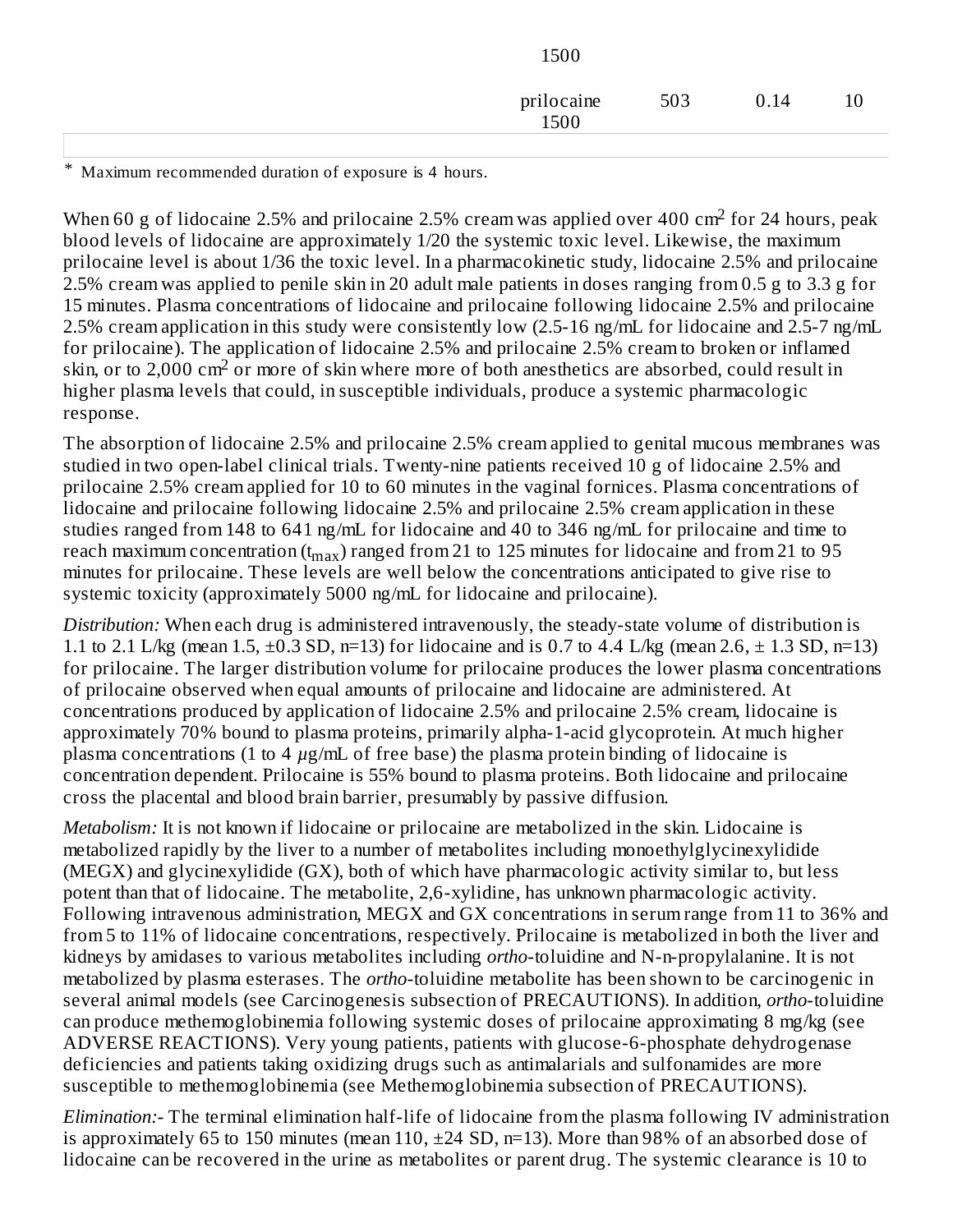| 1500               |     |      |    |
|--------------------|-----|------|----|
| prilocaine<br>1500 | 503 | 0.14 | 10 |
|                    |     |      |    |

\* Maximum recommended duration of exposure is 4 hours.

When 60 g of lidocaine 2.5% and prilocaine 2.5% cream was applied over 400 cm<sup>2</sup> for 24 hours, peak blood levels of lidocaine are approximately 1/20 the systemic toxic level. Likewise, the maximum prilocaine level is about 1/36 the toxic level. In a pharmacokinetic study, lidocaine 2.5% and prilocaine 2.5% cream was applied to penile skin in 20 adult male patients in doses ranging from 0.5 g to 3.3 g for 15 minutes. Plasma concentrations of lidocaine and prilocaine following lidocaine 2.5% and prilocaine 2.5% cream application in this study were consistently low (2.5-16 ng/mL for lidocaine and 2.5-7 ng/mL for prilocaine). The application of lidocaine 2.5% and prilocaine 2.5% cream to broken or inflamed skin, or to 2,000 cm<sup>2</sup> or more of skin where more of both anesthetics are absorbed, could result in higher plasma levels that could, in susceptible individuals, produce a systemic pharmacologic response.

The absorption of lidocaine 2.5% and prilocaine 2.5% cream applied to genital mucous membranes was studied in two open-label clinical trials. Twenty-nine patients received 10 g of lidocaine 2.5% and prilocaine 2.5% cream applied for 10 to 60 minutes in the vaginal fornices. Plasma concentrations of lidocaine and prilocaine following lidocaine 2.5% and prilocaine 2.5% cream application in these studies ranged from 148 to 641 ng/mL for lidocaine and 40 to 346 ng/mL for prilocaine and time to reach maximum concentration (t<sub>max</sub>) ranged from 21 to 125 minutes for lidocaine and from 21 to 95 minutes for prilocaine. These levels are well below the concentrations anticipated to give rise to systemic toxicity (approximately 5000 ng/mL for lidocaine and prilocaine).

*Distribution:* When each drug is administered intravenously, the steady-state volume of distribution is 1.1 to 2.1 L/kg (mean 1.5,  $\pm$ 0.3 SD, n=13) for lidocaine and is 0.7 to 4.4 L/kg (mean 2.6,  $\pm$  1.3 SD, n=13) for prilocaine. The larger distribution volume for prilocaine produces the lower plasma concentrations of prilocaine observed when equal amounts of prilocaine and lidocaine are administered. At concentrations produced by application of lidocaine 2.5% and prilocaine 2.5% cream, lidocaine is approximately 70% bound to plasma proteins, primarily alpha-1-acid glycoprotein. At much higher plasma concentrations (1 to 4 *µ*g/mL of free base) the plasma protein binding of lidocaine is concentration dependent. Prilocaine is 55% bound to plasma proteins. Both lidocaine and prilocaine cross the placental and blood brain barrier, presumably by passive diffusion.

*Metabolism:* It is not known if lidocaine or prilocaine are metabolized in the skin. Lidocaine is metabolized rapidly by the liver to a number of metabolites including monoethylglycinexylidide (MEGX) and glycinexylidide (GX), both of which have pharmacologic activity similar to, but less potent than that of lidocaine. The metabolite, 2,6-xylidine, has unknown pharmacologic activity. Following intravenous administration, MEGX and GX concentrations in serum range from 11 to 36% and from 5 to 11% of lidocaine concentrations, respectively. Prilocaine is metabolized in both the liver and kidneys by amidases to various metabolites including *ortho*-toluidine and N-n-propylalanine. It is not metabolized by plasma esterases. The *ortho*-toluidine metabolite has been shown to be carcinogenic in several animal models (see Carcinogenesis subsection of PRECAUTIONS). In addition, *ortho*-toluidine can produce methemoglobinemia following systemic doses of prilocaine approximating 8 mg/kg (see ADVERSE REACTIONS). Very young patients, patients with glucose-6-phosphate dehydrogenase deficiencies and patients taking oxidizing drugs such as antimalarials and sulfonamides are more susceptible to methemoglobinemia (see Methemoglobinemia subsection of PRECAUTIONS).

*Elimination:-* The terminal elimination half-life of lidocaine from the plasma following IV administration is approximately 65 to 150 minutes (mean 110, ±24 SD, n=13). More than 98% of an absorbed dose of lidocaine can be recovered in the urine as metabolites or parent drug. The systemic clearance is 10 to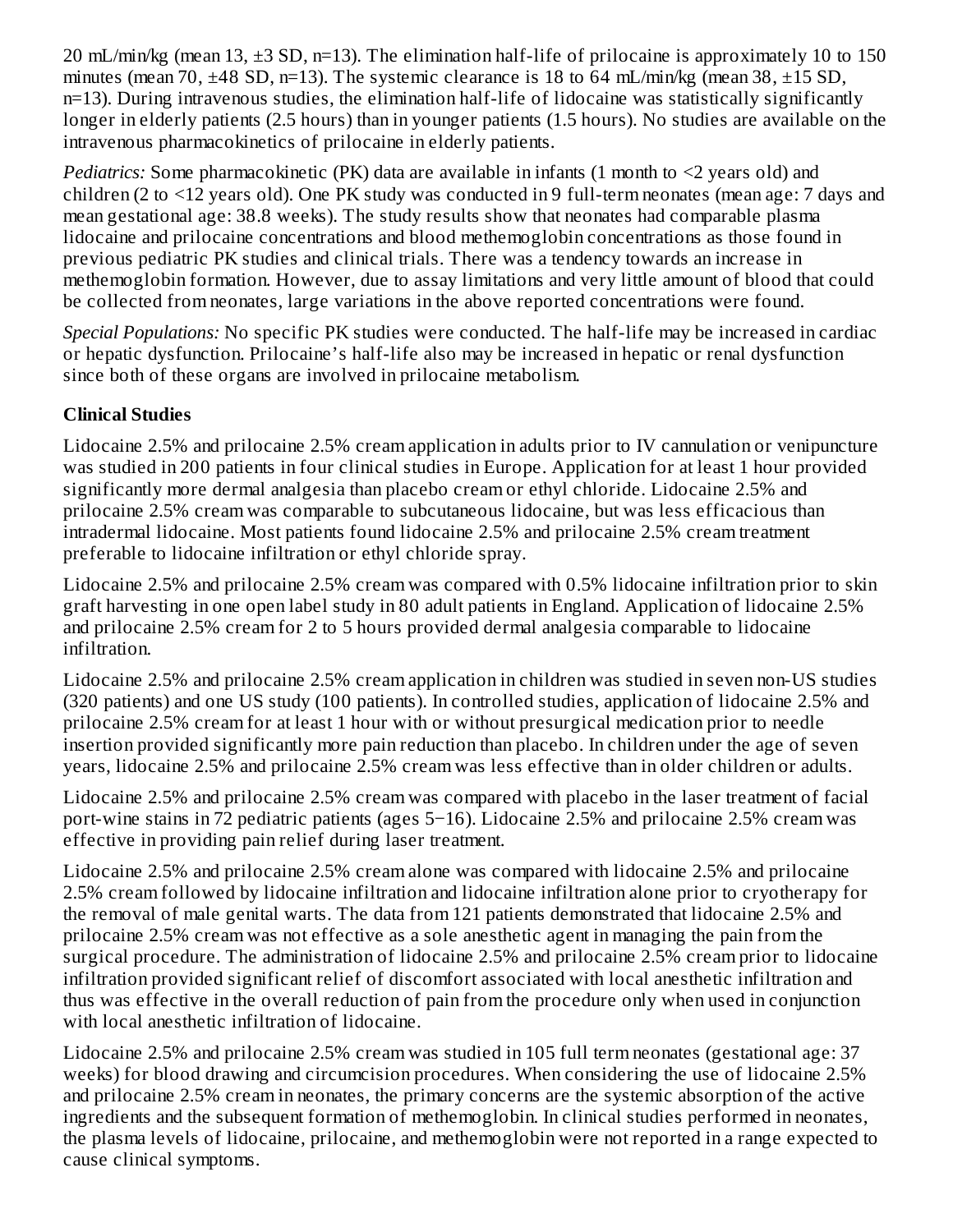20 mL/min/kg (mean 13, ±3 SD, n=13). The elimination half-life of prilocaine is approximately 10 to 150 minutes (mean 70, ±48 SD, n=13). The systemic clearance is 18 to 64 mL/min/kg (mean 38, ±15 SD, n=13). During intravenous studies, the elimination half-life of lidocaine was statistically significantly longer in elderly patients (2.5 hours) than in younger patients (1.5 hours). No studies are available on the intravenous pharmacokinetics of prilocaine in elderly patients.

*Pediatrics:* Some pharmacokinetic (PK) data are available in infants (1 month to <2 years old) and children (2 to <12 years old). One PK study was conducted in 9 full-term neonates (mean age: 7 days and mean gestational age: 38.8 weeks). The study results show that neonates had comparable plasma lidocaine and prilocaine concentrations and blood methemoglobin concentrations as those found in previous pediatric PK studies and clinical trials. There was a tendency towards an increase in methemoglobin formation. However, due to assay limitations and very little amount of blood that could be collected from neonates, large variations in the above reported concentrations were found.

*Special Populations:* No specific PK studies were conducted. The half-life may be increased in cardiac or hepatic dysfunction. Prilocaine's half-life also may be increased in hepatic or renal dysfunction since both of these organs are involved in prilocaine metabolism.

# **Clinical Studies**

Lidocaine 2.5% and prilocaine 2.5% cream application in adults prior to IV cannulation or venipuncture was studied in 200 patients in four clinical studies in Europe. Application for at least 1 hour provided significantly more dermal analgesia than placebo cream or ethyl chloride. Lidocaine 2.5% and prilocaine 2.5% cream was comparable to subcutaneous lidocaine, but was less efficacious than intradermal lidocaine. Most patients found lidocaine 2.5% and prilocaine 2.5% cream treatment preferable to lidocaine infiltration or ethyl chloride spray.

Lidocaine 2.5% and prilocaine 2.5% cream was compared with 0.5% lidocaine infiltration prior to skin graft harvesting in one open label study in 80 adult patients in England. Application of lidocaine 2.5% and prilocaine 2.5% cream for 2 to 5 hours provided dermal analgesia comparable to lidocaine infiltration.

Lidocaine 2.5% and prilocaine 2.5% cream application in children was studied in seven non-US studies (320 patients) and one US study (100 patients). In controlled studies, application of lidocaine 2.5% and prilocaine 2.5% cream for at least 1 hour with or without presurgical medication prior to needle insertion provided significantly more pain reduction than placebo. In children under the age of seven years, lidocaine 2.5% and prilocaine 2.5% cream was less effective than in older children or adults.

Lidocaine 2.5% and prilocaine 2.5% cream was compared with placebo in the laser treatment of facial port-wine stains in 72 pediatric patients (ages 5−16). Lidocaine 2.5% and prilocaine 2.5% cream was effective in providing pain relief during laser treatment.

Lidocaine 2.5% and prilocaine 2.5% cream alone was compared with lidocaine 2.5% and prilocaine 2.5% cream followed by lidocaine infiltration and lidocaine infiltration alone prior to cryotherapy for the removal of male genital warts. The data from 121 patients demonstrated that lidocaine 2.5% and prilocaine 2.5% cream was not effective as a sole anesthetic agent in managing the pain from the surgical procedure. The administration of lidocaine 2.5% and prilocaine 2.5% cream prior to lidocaine infiltration provided significant relief of discomfort associated with local anesthetic infiltration and thus was effective in the overall reduction of pain from the procedure only when used in conjunction with local anesthetic infiltration of lidocaine.

Lidocaine 2.5% and prilocaine 2.5% cream was studied in 105 full term neonates (gestational age: 37 weeks) for blood drawing and circumcision procedures. When considering the use of lidocaine 2.5% and prilocaine 2.5% cream in neonates, the primary concerns are the systemic absorption of the active ingredients and the subsequent formation of methemoglobin. In clinical studies performed in neonates, the plasma levels of lidocaine, prilocaine, and methemoglobin were not reported in a range expected to cause clinical symptoms.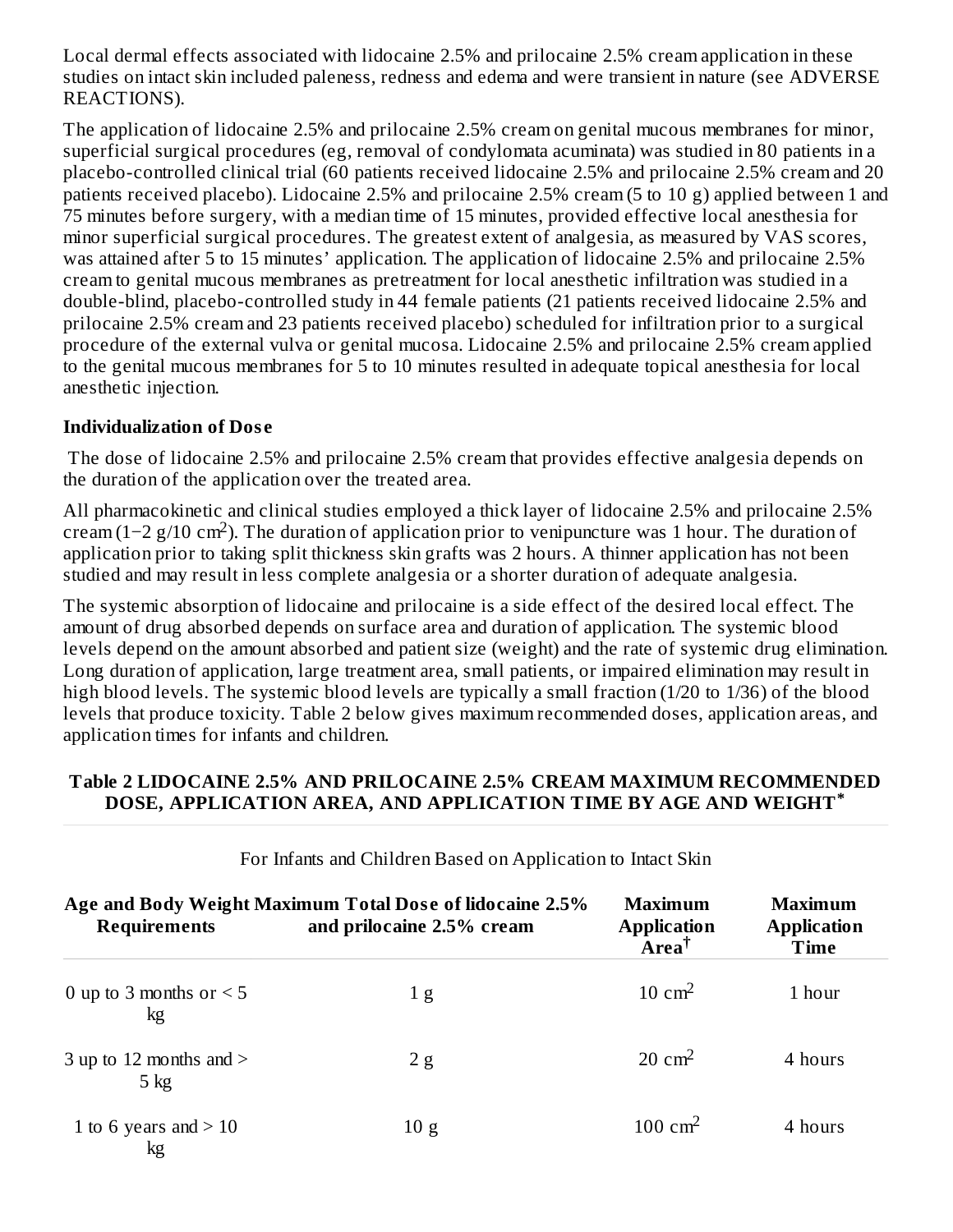Local dermal effects associated with lidocaine 2.5% and prilocaine 2.5% cream application in these studies on intact skin included paleness, redness and edema and were transient in nature (see ADVERSE REACTIONS).

The application of lidocaine 2.5% and prilocaine 2.5% cream on genital mucous membranes for minor, superficial surgical procedures (eg, removal of condylomata acuminata) was studied in 80 patients in a placebo-controlled clinical trial (60 patients received lidocaine 2.5% and prilocaine 2.5% cream and 20 patients received placebo). Lidocaine 2.5% and prilocaine 2.5% cream (5 to 10 g) applied between 1 and 75 minutes before surgery, with a median time of 15 minutes, provided effective local anesthesia for minor superficial surgical procedures. The greatest extent of analgesia, as measured by VAS scores, was attained after 5 to 15 minutes' application. The application of lidocaine 2.5% and prilocaine 2.5% cream to genital mucous membranes as pretreatment for local anesthetic infiltration was studied in a double-blind, placebo-controlled study in 44 female patients (21 patients received lidocaine 2.5% and prilocaine 2.5% cream and 23 patients received placebo) scheduled for infiltration prior to a surgical procedure of the external vulva or genital mucosa. Lidocaine 2.5% and prilocaine 2.5% cream applied to the genital mucous membranes for 5 to 10 minutes resulted in adequate topical anesthesia for local anesthetic injection.

#### **Individualization of Dos e**

The dose of lidocaine 2.5% and prilocaine 2.5% cream that provides effective analgesia depends on the duration of the application over the treated area.

All pharmacokinetic and clinical studies employed a thick layer of lidocaine 2.5% and prilocaine 2.5% cream (1–2 g/10 cm<sup>2</sup>). The duration of application prior to venipuncture was 1 hour. The duration of application prior to taking split thickness skin grafts was 2 hours. A thinner application has not been studied and may result in less complete analgesia or a shorter duration of adequate analgesia.

The systemic absorption of lidocaine and prilocaine is a side effect of the desired local effect. The amount of drug absorbed depends on surface area and duration of application. The systemic blood levels depend on the amount absorbed and patient size (weight) and the rate of systemic drug elimination. Long duration of application, large treatment area, small patients, or impaired elimination may result in high blood levels. The systemic blood levels are typically a small fraction (1/20 to 1/36) of the blood levels that produce toxicity. Table 2 below gives maximum recommended doses, application areas, and application times for infants and children.

#### **Table 2 LIDOCAINE 2.5% AND PRILOCAINE 2.5% CREAM MAXIMUM RECOMMENDED DOSE, APPLICATION AREA, AND APPLICATION TIME BY AGE AND WEIGHT \***

| Age and Body Weight Maximum Total Dose of lidocaine 2.5%<br><b>Requirements</b><br>and prilocaine 2.5% cream |     | Maximum<br><b>Application</b><br>Area <sup>†</sup> | Maximum<br><b>Application</b><br>Time |  |  |
|--------------------------------------------------------------------------------------------------------------|-----|----------------------------------------------------|---------------------------------------|--|--|
| 0 up to 3 months or $\leq$ 5<br>kg                                                                           | 1 g | $10 \text{ cm}^2$                                  | 1 hour                                |  |  |
| 3 up to 12 months and $>$<br>$5$ kg                                                                          | 2g  | $20 \text{ cm}^2$                                  | 4 hours                               |  |  |
| 1 to 6 years and $> 10$                                                                                      | 10g | 100 cm <sup>2</sup>                                | 4 hours                               |  |  |

#### For Infants and Children Based on Application to Intact Skin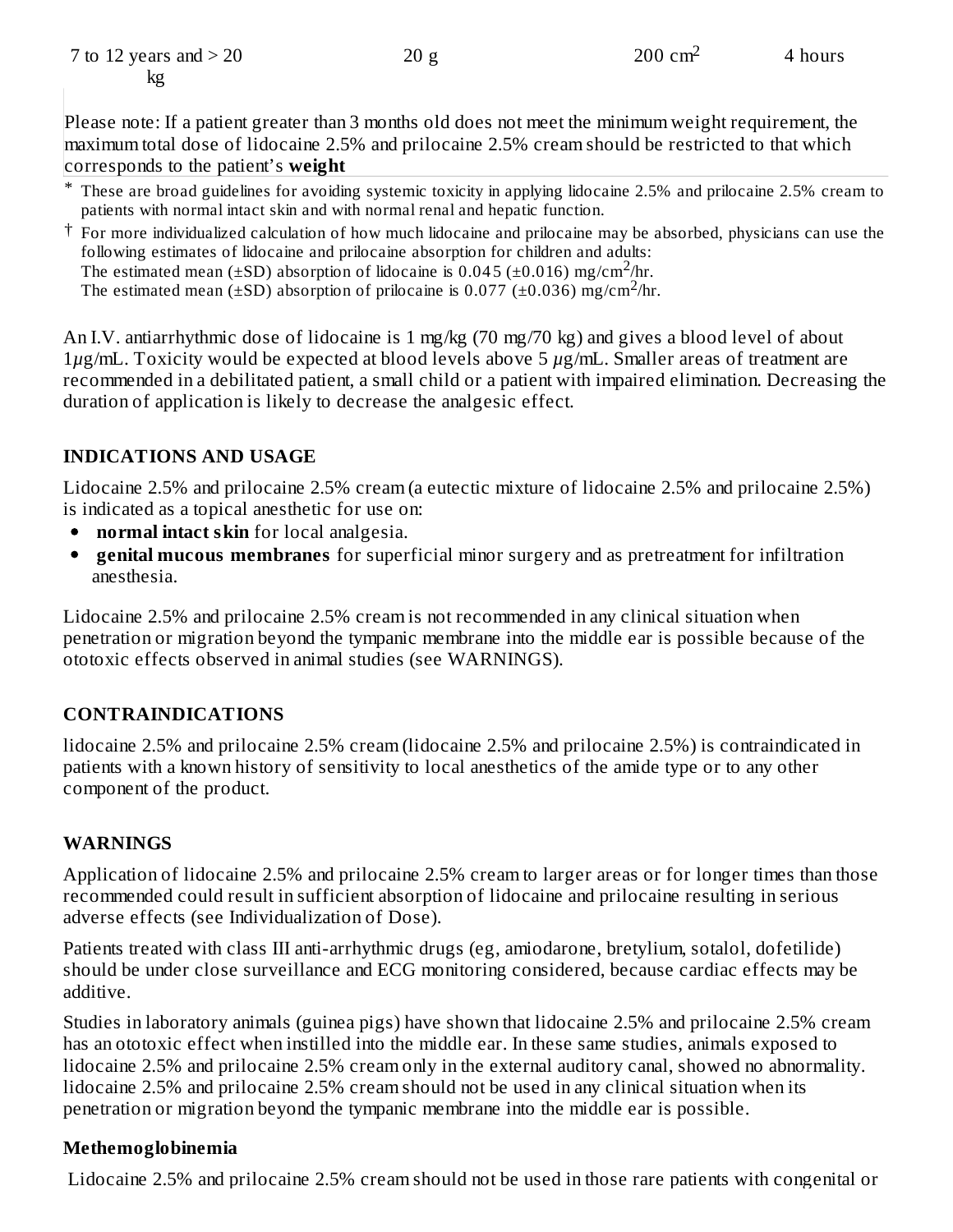\* These are broad guidelines for avoiding systemic toxicity in applying lidocaine 2.5% and prilocaine 2.5% cream to patients with normal intact skin and with normal renal and hepatic function.

 $20 g$  200 cm<sup>2</sup> 4 hours

† For more individualized calculation of how much lidocaine and prilocaine may be absorbed, physicians can use the following estimates of lidocaine and prilocaine absorption for children and adults: The estimated mean ( $\pm$ SD) absorption of lidocaine is 0.045 ( $\pm$ 0.016) mg/cm<sup>2</sup>/hr.

The estimated mean  $(\pm SD)$  absorption of prilocaine is 0.077 ( $\pm$ 0.036) mg/cm<sup>2</sup>/hr.

An I.V. antiarrhythmic dose of lidocaine is 1 mg/kg (70 mg/70 kg) and gives a blood level of about 1*µ*g/mL. Toxicity would be expected at blood levels above 5 *µ*g/mL. Smaller areas of treatment are recommended in a debilitated patient, a small child or a patient with impaired elimination. Decreasing the duration of application is likely to decrease the analgesic effect.

## **INDICATIONS AND USAGE**

Lidocaine 2.5% and prilocaine 2.5% cream (a eutectic mixture of lidocaine 2.5% and prilocaine 2.5%) is indicated as a topical anesthetic for use on:

- **normal intact skin** for local analgesia.
- $\bullet$ **genital mucous membranes** for superficial minor surgery and as pretreatment for infiltration anesthesia.

Lidocaine 2.5% and prilocaine 2.5% cream is not recommended in any clinical situation when penetration or migration beyond the tympanic membrane into the middle ear is possible because of the ototoxic effects observed in animal studies (see WARNINGS).

## **CONTRAINDICATIONS**

lidocaine 2.5% and prilocaine 2.5% cream (lidocaine 2.5% and prilocaine 2.5%) is contraindicated in patients with a known history of sensitivity to local anesthetics of the amide type or to any other component of the product.

## **WARNINGS**

Application of lidocaine 2.5% and prilocaine 2.5% cream to larger areas or for longer times than those recommended could result in sufficient absorption of lidocaine and prilocaine resulting in serious adverse effects (see Individualization of Dose).

Patients treated with class III anti-arrhythmic drugs (eg, amiodarone, bretylium, sotalol, dofetilide) should be under close surveillance and ECG monitoring considered, because cardiac effects may be additive.

Studies in laboratory animals (guinea pigs) have shown that lidocaine 2.5% and prilocaine 2.5% cream has an ototoxic effect when instilled into the middle ear. In these same studies, animals exposed to lidocaine 2.5% and prilocaine 2.5% cream only in the external auditory canal, showed no abnormality. lidocaine 2.5% and prilocaine 2.5% cream should not be used in any clinical situation when its penetration or migration beyond the tympanic membrane into the middle ear is possible.

## **Methemoglobinemia**

Lidocaine 2.5% and prilocaine 2.5% cream should not be used in those rare patients with congenital or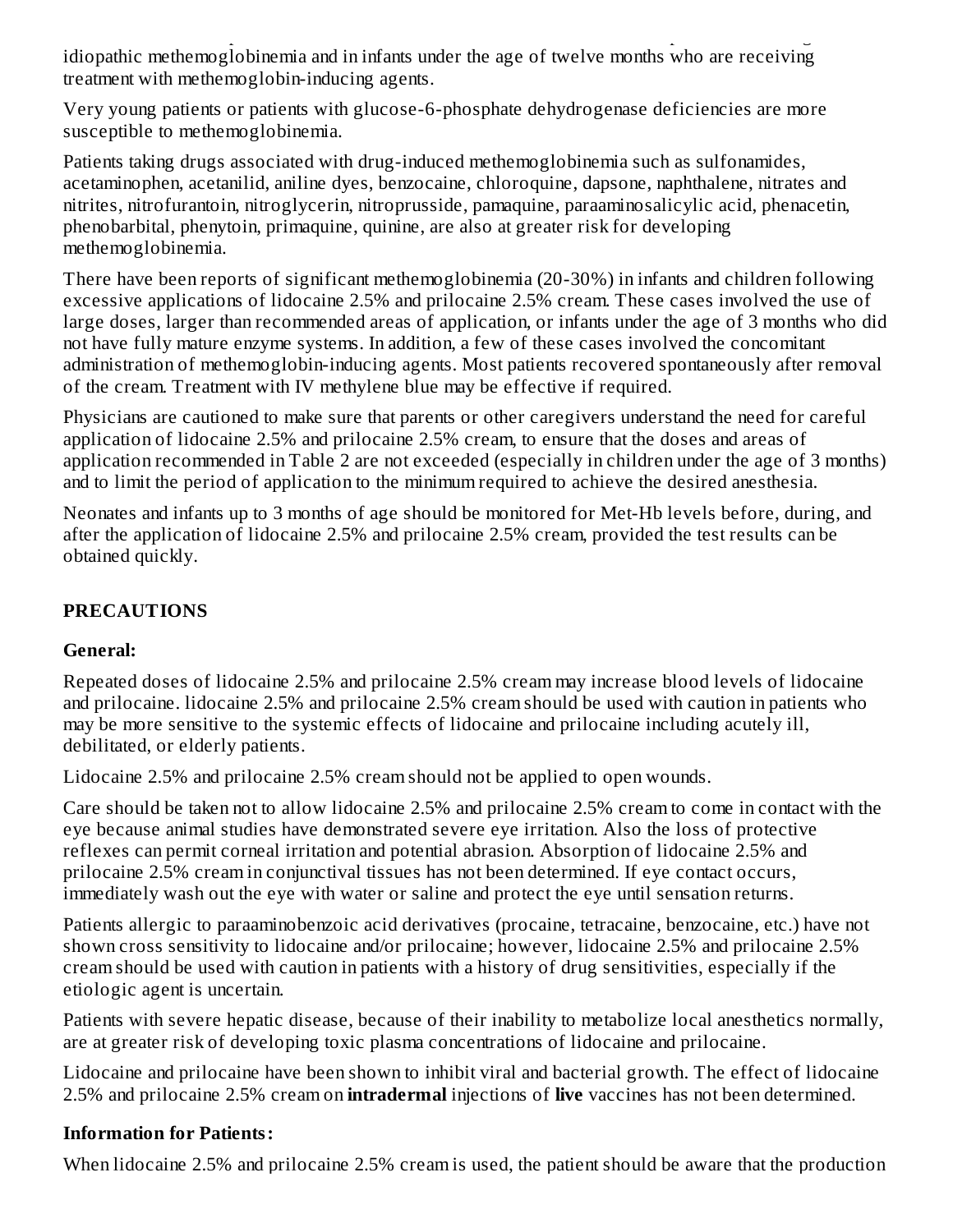Lidocaine 2.5% and prilocaine 2.5% cream should not be used in those rare patients with congenital or idiopathic methemoglobinemia and in infants under the age of twelve months who are receiving treatment with methemoglobin-inducing agents.

Very young patients or patients with glucose-6-phosphate dehydrogenase deficiencies are more susceptible to methemoglobinemia.

Patients taking drugs associated with drug-induced methemoglobinemia such as sulfonamides, acetaminophen, acetanilid, aniline dyes, benzocaine, chloroquine, dapsone, naphthalene, nitrates and nitrites, nitrofurantoin, nitroglycerin, nitroprusside, pamaquine, paraaminosalicylic acid, phenacetin, phenobarbital, phenytoin, primaquine, quinine, are also at greater risk for developing methemoglobinemia.

There have been reports of significant methemoglobinemia (20-30%) in infants and children following excessive applications of lidocaine 2.5% and prilocaine 2.5% cream. These cases involved the use of large doses, larger than recommended areas of application, or infants under the age of 3 months who did not have fully mature enzyme systems. In addition, a few of these cases involved the concomitant administration of methemoglobin-inducing agents. Most patients recovered spontaneously after removal of the cream. Treatment with IV methylene blue may be effective if required.

Physicians are cautioned to make sure that parents or other caregivers understand the need for careful application of lidocaine 2.5% and prilocaine 2.5% cream, to ensure that the doses and areas of application recommended in Table 2 are not exceeded (especially in children under the age of 3 months) and to limit the period of application to the minimum required to achieve the desired anesthesia.

Neonates and infants up to 3 months of age should be monitored for Met-Hb levels before, during, and after the application of lidocaine 2.5% and prilocaine 2.5% cream, provided the test results can be obtained quickly.

# **PRECAUTIONS**

## **General:**

Repeated doses of lidocaine 2.5% and prilocaine 2.5% cream may increase blood levels of lidocaine and prilocaine. lidocaine 2.5% and prilocaine 2.5% cream should be used with caution in patients who may be more sensitive to the systemic effects of lidocaine and prilocaine including acutely ill, debilitated, or elderly patients.

Lidocaine 2.5% and prilocaine 2.5% cream should not be applied to open wounds.

Care should be taken not to allow lidocaine 2.5% and prilocaine 2.5% cream to come in contact with the eye because animal studies have demonstrated severe eye irritation. Also the loss of protective reflexes can permit corneal irritation and potential abrasion. Absorption of lidocaine 2.5% and prilocaine 2.5% cream in conjunctival tissues has not been determined. If eye contact occurs, immediately wash out the eye with water or saline and protect the eye until sensation returns.

Patients allergic to paraaminobenzoic acid derivatives (procaine, tetracaine, benzocaine, etc.) have not shown cross sensitivity to lidocaine and/or prilocaine; however, lidocaine 2.5% and prilocaine 2.5% cream should be used with caution in patients with a history of drug sensitivities, especially if the etiologic agent is uncertain.

Patients with severe hepatic disease, because of their inability to metabolize local anesthetics normally, are at greater risk of developing toxic plasma concentrations of lidocaine and prilocaine.

Lidocaine and prilocaine have been shown to inhibit viral and bacterial growth. The effect of lidocaine 2.5% and prilocaine 2.5% cream on **intradermal** injections of **live** vaccines has not been determined.

## **Information for Patients:**

When lidocaine 2.5% and prilocaine 2.5% cream is used, the patient should be aware that the production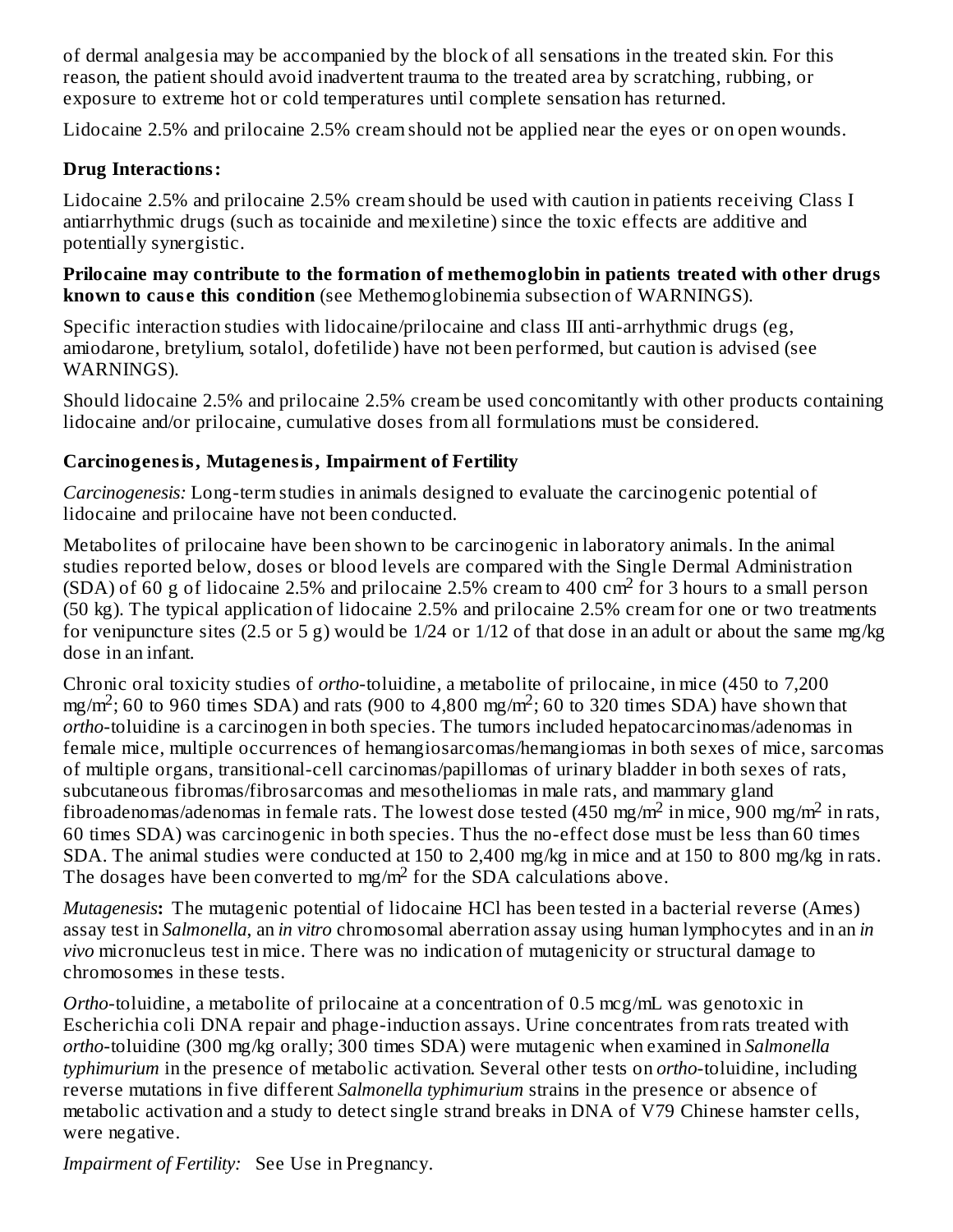of dermal analgesia may be accompanied by the block of all sensations in the treated skin. For this reason, the patient should avoid inadvertent trauma to the treated area by scratching, rubbing, or exposure to extreme hot or cold temperatures until complete sensation has returned.

Lidocaine 2.5% and prilocaine 2.5% cream should not be applied near the eyes or on open wounds.

## **Drug Interactions:**

Lidocaine 2.5% and prilocaine 2.5% cream should be used with caution in patients receiving Class I antiarrhythmic drugs (such as tocainide and mexiletine) since the toxic effects are additive and potentially synergistic.

#### **Prilocaine may contribute to the formation of methemoglobin in patients treated with other drugs known to caus e this condition** (see Methemoglobinemia subsection of WARNINGS).

Specific interaction studies with lidocaine/prilocaine and class III anti-arrhythmic drugs (eg, amiodarone, bretylium, sotalol, dofetilide) have not been performed, but caution is advised (see WARNINGS).

Should lidocaine 2.5% and prilocaine 2.5% cream be used concomitantly with other products containing lidocaine and/or prilocaine, cumulative doses from all formulations must be considered.

#### **Carcinogenesis, Mutagenesis, Impairment of Fertility**

*Carcinogenesis:* Long-term studies in animals designed to evaluate the carcinogenic potential of lidocaine and prilocaine have not been conducted.

Metabolites of prilocaine have been shown to be carcinogenic in laboratory animals. In the animal studies reported below, doses or blood levels are compared with the Single Dermal Administration  $(SDA)$  of 60 g of lidocaine 2.5% and prilocaine 2.5% cream to 400 cm<sup>2</sup> for 3 hours to a small person (50 kg). The typical application of lidocaine 2.5% and prilocaine 2.5% cream for one or two treatments for venipuncture sites (2.5 or 5 g) would be 1/24 or 1/12 of that dose in an adult or about the same mg/kg dose in an infant.

Chronic oral toxicity studies of *ortho*-toluidine, a metabolite of prilocaine, in mice (450 to 7,200 mg/m<sup>2</sup>; 60 to 960 times SDA) and rats (900 to 4,800 mg/m<sup>2</sup>; 60 to 320 times SDA) have shown that *ortho*-toluidine is a carcinogen in both species. The tumors included hepatocarcinomas/adenomas in female mice, multiple occurrences of hemangiosarcomas/hemangiomas in both sexes of mice, sarcomas of multiple organs, transitional-cell carcinomas/papillomas of urinary bladder in both sexes of rats, subcutaneous fibromas/fibrosarcomas and mesotheliomas in male rats, and mammary gland fibroadenomas/adenomas in female rats. The lowest dose tested (450 mg/m<sup>2</sup> in mice, 900 mg/m<sup>2</sup> in rats, 60 times SDA) was carcinogenic in both species. Thus the no-effect dose must be less than 60 times SDA. The animal studies were conducted at 150 to 2,400 mg/kg in mice and at 150 to 800 mg/kg in rats. The dosages have been converted to mg/m<sup>2</sup> for the SDA calculations above.

*Mutagenesis***:** The mutagenic potential of lidocaine HCl has been tested in a bacterial reverse (Ames) assay test in *Salmonella*, an *in vitro* chromosomal aberration assay using human lymphocytes and in an *in vivo* micronucleus test in mice. There was no indication of mutagenicity or structural damage to chromosomes in these tests.

*Ortho*-toluidine, a metabolite of prilocaine at a concentration of 0.5 mcg/mL was genotoxic in Escherichia coli DNA repair and phage-induction assays. Urine concentrates from rats treated with *ortho*-toluidine (300 mg/kg orally; 300 times SDA) were mutagenic when examined in *Salmonella typhimurium* in the presence of metabolic activation. Several other tests on *ortho*-toluidine, including reverse mutations in five different *Salmonella typhimurium* strains in the presence or absence of metabolic activation and a study to detect single strand breaks in DNA of V79 Chinese hamster cells, were negative.

*Impairment of Fertility:* See Use in Pregnancy.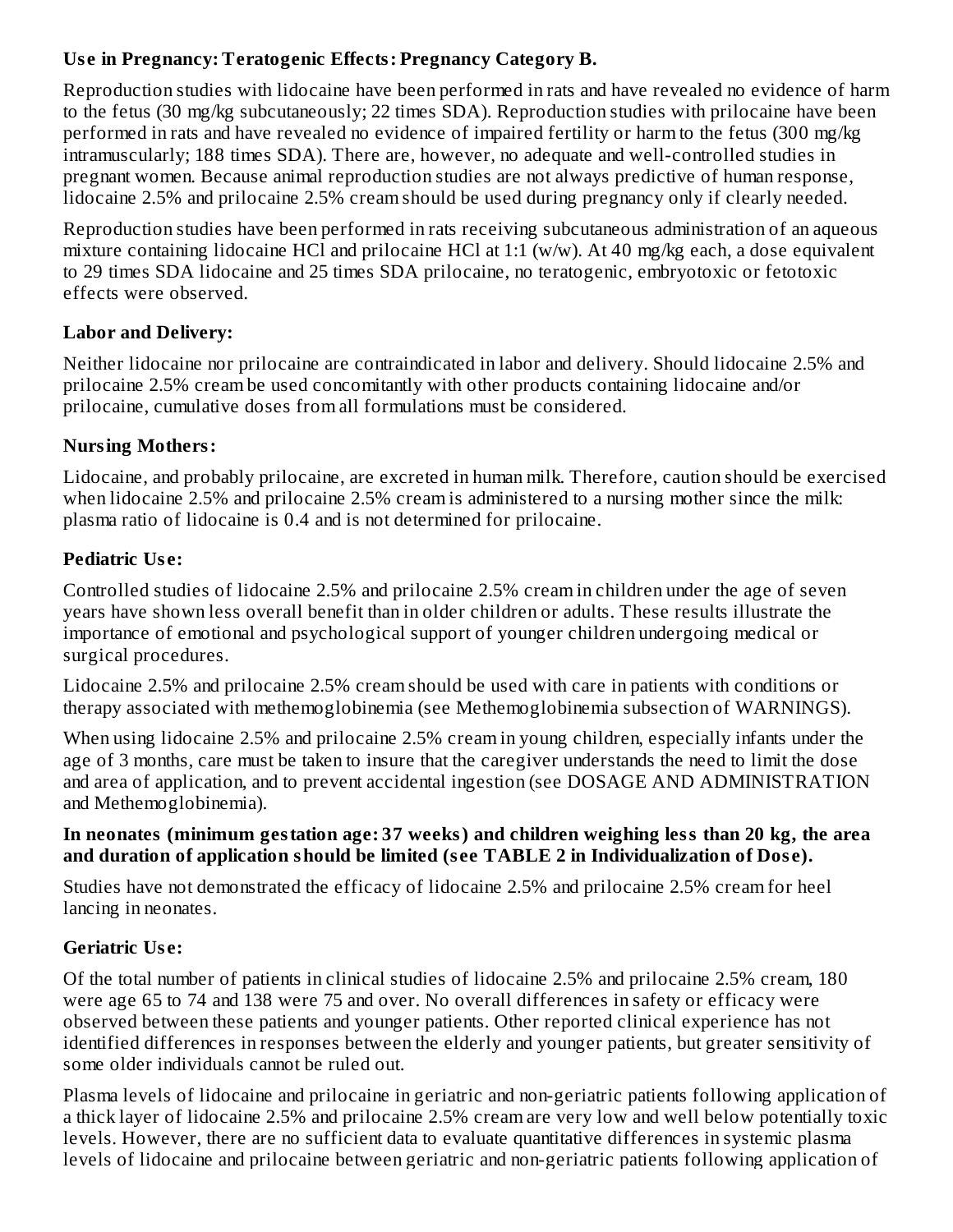## **Us e in Pregnancy: Teratogenic Effects: Pregnancy Category B.**

Reproduction studies with lidocaine have been performed in rats and have revealed no evidence of harm to the fetus (30 mg/kg subcutaneously; 22 times SDA). Reproduction studies with prilocaine have been performed in rats and have revealed no evidence of impaired fertility or harm to the fetus (300 mg/kg intramuscularly; 188 times SDA). There are, however, no adequate and well-controlled studies in pregnant women. Because animal reproduction studies are not always predictive of human response, lidocaine 2.5% and prilocaine 2.5% cream should be used during pregnancy only if clearly needed.

Reproduction studies have been performed in rats receiving subcutaneous administration of an aqueous mixture containing lidocaine HCl and prilocaine HCl at 1:1 (w/w). At 40 mg/kg each, a dose equivalent to 29 times SDA lidocaine and 25 times SDA prilocaine, no teratogenic, embryotoxic or fetotoxic effects were observed.

## **Labor and Delivery:**

Neither lidocaine nor prilocaine are contraindicated in labor and delivery. Should lidocaine 2.5% and prilocaine 2.5% cream be used concomitantly with other products containing lidocaine and/or prilocaine, cumulative doses from all formulations must be considered.

## **Nursing Mothers:**

Lidocaine, and probably prilocaine, are excreted in human milk. Therefore, caution should be exercised when lidocaine 2.5% and prilocaine 2.5% cream is administered to a nursing mother since the milk: plasma ratio of lidocaine is 0.4 and is not determined for prilocaine.

## **Pediatric Us e:**

Controlled studies of lidocaine 2.5% and prilocaine 2.5% cream in children under the age of seven years have shown less overall benefit than in older children or adults. These results illustrate the importance of emotional and psychological support of younger children undergoing medical or surgical procedures.

Lidocaine 2.5% and prilocaine 2.5% cream should be used with care in patients with conditions or therapy associated with methemoglobinemia (see Methemoglobinemia subsection of WARNINGS).

When using lidocaine 2.5% and prilocaine 2.5% cream in young children, especially infants under the age of 3 months, care must be taken to insure that the caregiver understands the need to limit the dose and area of application, and to prevent accidental ingestion (see DOSAGE AND ADMINISTRATION and Methemoglobinemia).

#### **In neonates (minimum gestation age: 37 weeks) and children weighing less than 20 kg, the area and duration of application should be limited (s ee TABLE 2 in Individualization of Dos e).**

Studies have not demonstrated the efficacy of lidocaine 2.5% and prilocaine 2.5% cream for heel lancing in neonates.

## **Geriatric Us e:**

Of the total number of patients in clinical studies of lidocaine 2.5% and prilocaine 2.5% cream, 180 were age 65 to 74 and 138 were 75 and over. No overall differences in safety or efficacy were observed between these patients and younger patients. Other reported clinical experience has not identified differences in responses between the elderly and younger patients, but greater sensitivity of some older individuals cannot be ruled out.

Plasma levels of lidocaine and prilocaine in geriatric and non-geriatric patients following application of a thick layer of lidocaine 2.5% and prilocaine 2.5% cream are very low and well below potentially toxic levels. However, there are no sufficient data to evaluate quantitative differences in systemic plasma levels of lidocaine and prilocaine between geriatric and non-geriatric patients following application of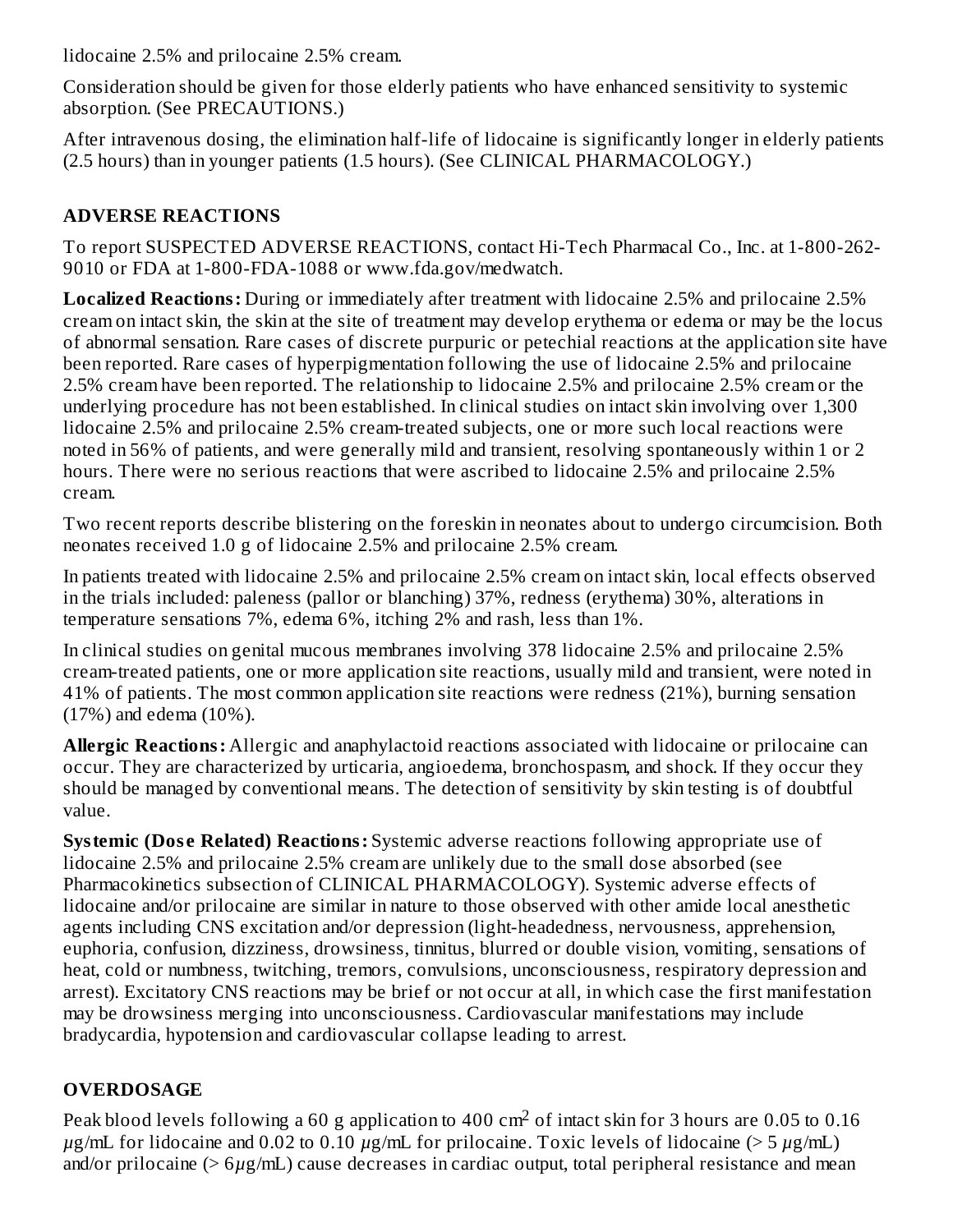lidocaine 2.5% and prilocaine 2.5% cream.

Consideration should be given for those elderly patients who have enhanced sensitivity to systemic absorption. (See PRECAUTIONS.)

After intravenous dosing, the elimination half-life of lidocaine is significantly longer in elderly patients (2.5 hours) than in younger patients (1.5 hours). (See CLINICAL PHARMACOLOGY.)

# **ADVERSE REACTIONS**

To report SUSPECTED ADVERSE REACTIONS, contact Hi-Tech Pharmacal Co., Inc. at 1-800-262- 9010 or FDA at 1-800-FDA-1088 or www.fda.gov/medwatch.

**Localized Reactions:** During or immediately after treatment with lidocaine 2.5% and prilocaine 2.5% cream on intact skin, the skin at the site of treatment may develop erythema or edema or may be the locus of abnormal sensation. Rare cases of discrete purpuric or petechial reactions at the application site have been reported. Rare cases of hyperpigmentation following the use of lidocaine 2.5% and prilocaine 2.5% cream have been reported. The relationship to lidocaine 2.5% and prilocaine 2.5% cream or the underlying procedure has not been established. In clinical studies on intact skin involving over 1,300 lidocaine 2.5% and prilocaine 2.5% cream-treated subjects, one or more such local reactions were noted in 56% of patients, and were generally mild and transient, resolving spontaneously within 1 or 2 hours. There were no serious reactions that were ascribed to lidocaine 2.5% and prilocaine 2.5% cream.

Two recent reports describe blistering on the foreskin in neonates about to undergo circumcision. Both neonates received 1.0 g of lidocaine 2.5% and prilocaine 2.5% cream.

In patients treated with lidocaine 2.5% and prilocaine 2.5% cream on intact skin, local effects observed in the trials included: paleness (pallor or blanching) 37%, redness (erythema) 30%, alterations in temperature sensations 7%, edema 6%, itching 2% and rash, less than 1%.

In clinical studies on genital mucous membranes involving 378 lidocaine 2.5% and prilocaine 2.5% cream-treated patients, one or more application site reactions, usually mild and transient, were noted in 41% of patients. The most common application site reactions were redness (21%), burning sensation (17%) and edema (10%).

**Allergic Reactions:** Allergic and anaphylactoid reactions associated with lidocaine or prilocaine can occur. They are characterized by urticaria, angioedema, bronchospasm, and shock. If they occur they should be managed by conventional means. The detection of sensitivity by skin testing is of doubtful value.

**Systemic (Dos e Related) Reactions:** Systemic adverse reactions following appropriate use of lidocaine 2.5% and prilocaine 2.5% cream are unlikely due to the small dose absorbed (see Pharmacokinetics subsection of CLINICAL PHARMACOLOGY). Systemic adverse effects of lidocaine and/or prilocaine are similar in nature to those observed with other amide local anesthetic agents including CNS excitation and/or depression (light-headedness, nervousness, apprehension, euphoria, confusion, dizziness, drowsiness, tinnitus, blurred or double vision, vomiting, sensations of heat, cold or numbness, twitching, tremors, convulsions, unconsciousness, respiratory depression and arrest). Excitatory CNS reactions may be brief or not occur at all, in which case the first manifestation may be drowsiness merging into unconsciousness. Cardiovascular manifestations may include bradycardia, hypotension and cardiovascular collapse leading to arrest.

# **OVERDOSAGE**

Peak blood levels following a 60 g application to 400  $\rm cm^2$  of intact skin for 3 hours are 0.05 to 0.16 *µ*g/mL for lidocaine and 0.02 to 0.10 *µ*g/mL for prilocaine. Toxic levels of lidocaine (> 5 *µ*g/mL) and/or prilocaine (> 6*µ*g/mL) cause decreases in cardiac output, total peripheral resistance and mean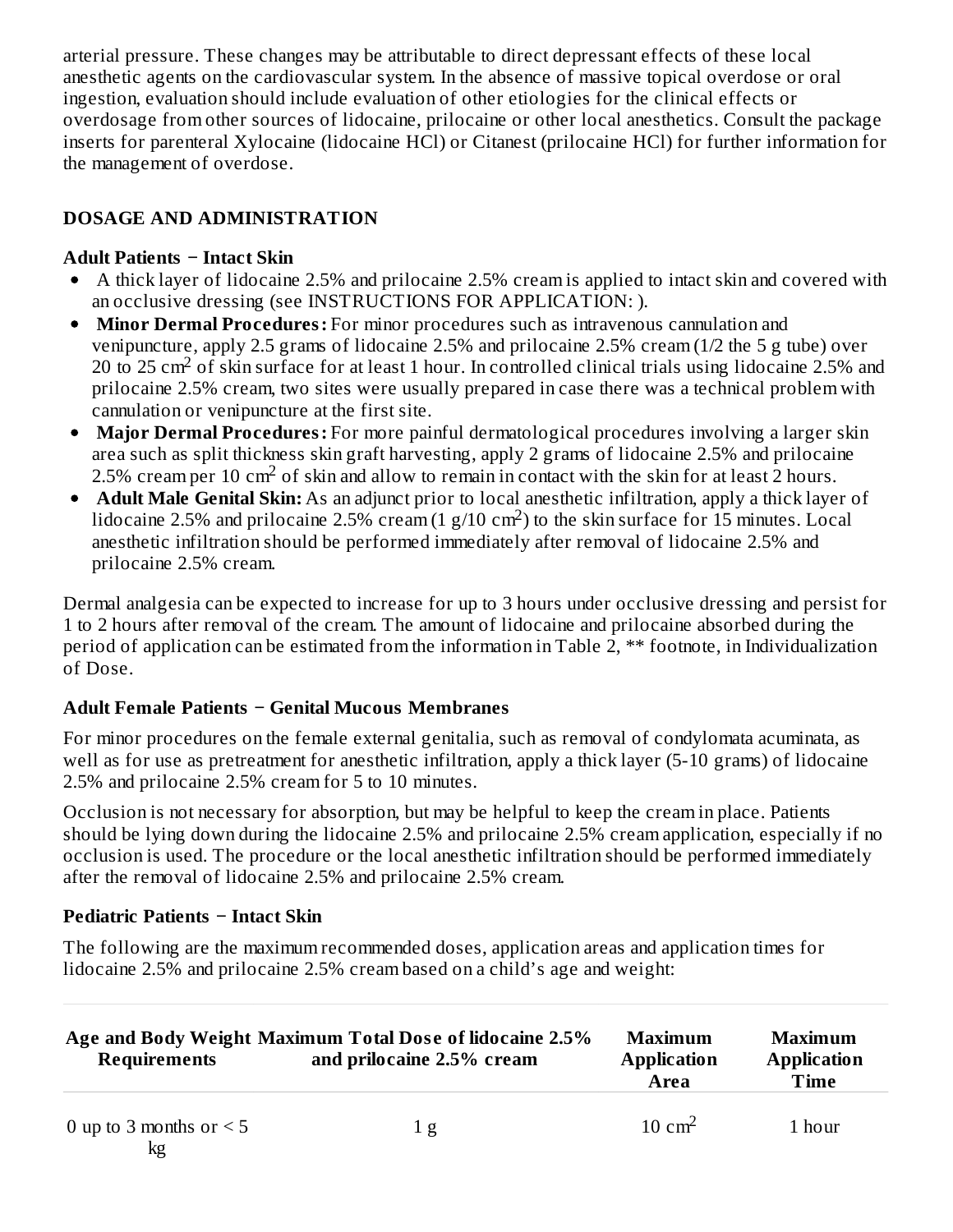arterial pressure. These changes may be attributable to direct depressant effects of these local anesthetic agents on the cardiovascular system. In the absence of massive topical overdose or oral ingestion, evaluation should include evaluation of other etiologies for the clinical effects or overdosage from other sources of lidocaine, prilocaine or other local anesthetics. Consult the package inserts for parenteral Xylocaine (lidocaine HCl) or Citanest (prilocaine HCl) for further information for the management of overdose.

# **DOSAGE AND ADMINISTRATION**

#### **Adult Patients − Intact Skin**

- A thick layer of lidocaine 2.5% and prilocaine 2.5% cream is applied to intact skin and covered with an occlusive dressing (see INSTRUCTIONS FOR APPLICATION: ).
- **Minor Dermal Procedures:** For minor procedures such as intravenous cannulation and venipuncture, apply 2.5 grams of lidocaine 2.5% and prilocaine 2.5% cream (1/2 the 5 g tube) over 20 to 25 cm<sup>2</sup> of skin surface for at least 1 hour. In controlled clinical trials using lidocaine 2.5% and prilocaine 2.5% cream, two sites were usually prepared in case there was a technical problem with cannulation or venipuncture at the first site.
- **Major Dermal Procedures:** For more painful dermatological procedures involving a larger skin area such as split thickness skin graft harvesting, apply 2 grams of lidocaine 2.5% and prilocaine 2.5% cream per 10 cm<sup>2</sup> of skin and allow to remain in contact with the skin for at least 2 hours.
- **Adult Male Genital Skin:** As an adjunct prior to local anesthetic infiltration, apply a thick layer of lidocaine 2.5% and prilocaine 2.5% cream  $(1 \text{ g}/10 \text{ cm}^2)$  to the skin surface for 15 minutes. Local anesthetic infiltration should be performed immediately after removal of lidocaine 2.5% and prilocaine 2.5% cream.

Dermal analgesia can be expected to increase for up to 3 hours under occlusive dressing and persist for 1 to 2 hours after removal of the cream. The amount of lidocaine and prilocaine absorbed during the period of application can be estimated from the information in Table 2, \*\* footnote, in Individualization of Dose.

## **Adult Female Patients − Genital Mucous Membranes**

For minor procedures on the female external genitalia, such as removal of condylomata acuminata, as well as for use as pretreatment for anesthetic infiltration, apply a thick layer (5-10 grams) of lidocaine 2.5% and prilocaine 2.5% cream for 5 to 10 minutes.

Occlusion is not necessary for absorption, but may be helpful to keep the cream in place. Patients should be lying down during the lidocaine 2.5% and prilocaine 2.5% cream application, especially if no occlusion is used. The procedure or the local anesthetic infiltration should be performed immediately after the removal of lidocaine 2.5% and prilocaine 2.5% cream.

## **Pediatric Patients − Intact Skin**

The following are the maximum recommended doses, application areas and application times for lidocaine 2.5% and prilocaine 2.5% cream based on a child's age and weight:

| Age and Body Weight Maximum Total Dose of lidocaine 2.5% |     | <b>Maximum</b>     | Maximum            |  |
|----------------------------------------------------------|-----|--------------------|--------------------|--|
| <b>Requirements</b>                                      |     | <b>Application</b> | <b>Application</b> |  |
| and prilocaine 2.5% cream                                |     | Area               | Time               |  |
| 0 up to 3 months or $\leq$ 5<br>$l_{\tau \sim}$          | 1 g | $10 \text{ cm}^2$  | 1 hour             |  |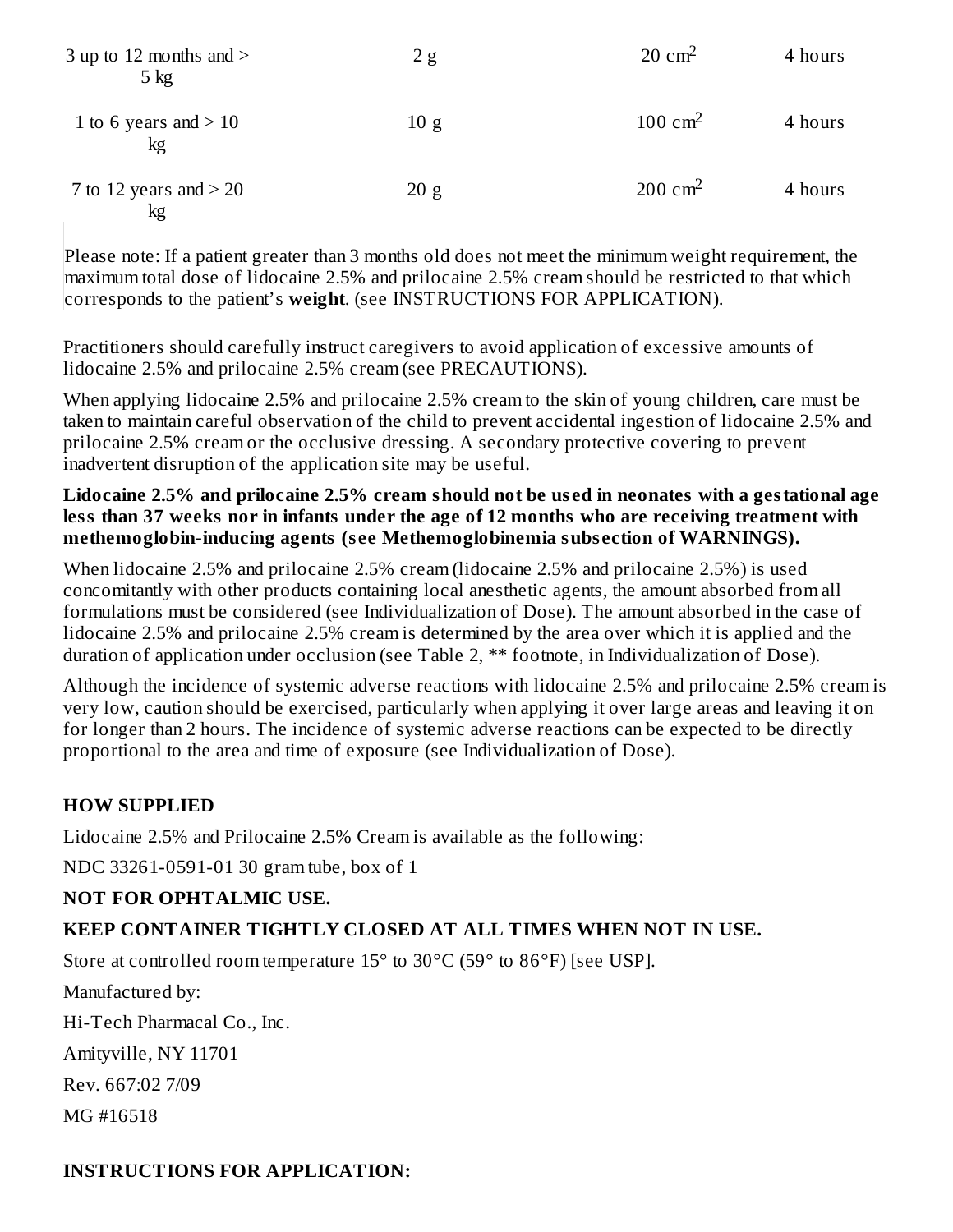| 3 up to 12 months and $>$<br>$5 \text{ kg}$ | 2g   | $20 \text{ cm}^2$  | 4 hours |
|---------------------------------------------|------|--------------------|---------|
| 1 to 6 years and $>$ 10<br>kg               | 10 g | $100 \text{ cm}^2$ | 4 hours |
| 7 to 12 years and $>$ 20<br>kg              | 20 g | $200 \text{ cm}^2$ | 4 hours |

Please note: If a patient greater than 3 months old does not meet the minimum weight requirement, the maximum total dose of lidocaine 2.5% and prilocaine 2.5% cream should be restricted to that which corresponds to the patient's **weight**. (see INSTRUCTIONS FOR APPLICATION).

Practitioners should carefully instruct caregivers to avoid application of excessive amounts of lidocaine 2.5% and prilocaine 2.5% cream (see PRECAUTIONS).

When applying lidocaine 2.5% and prilocaine 2.5% cream to the skin of young children, care must be taken to maintain careful observation of the child to prevent accidental ingestion of lidocaine 2.5% and prilocaine 2.5% cream or the occlusive dressing. A secondary protective covering to prevent inadvertent disruption of the application site may be useful.

#### **Lidocaine 2.5% and prilocaine 2.5% cream should not be us ed in neonates with a gestational age less than 37 weeks nor in infants under the age of 12 months who are receiving treatment with methemoglobin-inducing agents (s ee Methemoglobinemia subs ection of WARNINGS).**

When lidocaine 2.5% and prilocaine 2.5% cream (lidocaine 2.5% and prilocaine 2.5%) is used concomitantly with other products containing local anesthetic agents, the amount absorbed from all formulations must be considered (see Individualization of Dose). The amount absorbed in the case of lidocaine 2.5% and prilocaine 2.5% cream is determined by the area over which it is applied and the duration of application under occlusion (see Table 2, \*\* footnote, in Individualization of Dose).

Although the incidence of systemic adverse reactions with lidocaine 2.5% and prilocaine 2.5% cream is very low, caution should be exercised, particularly when applying it over large areas and leaving it on for longer than 2 hours. The incidence of systemic adverse reactions can be expected to be directly proportional to the area and time of exposure (see Individualization of Dose).

## **HOW SUPPLIED**

Lidocaine 2.5% and Prilocaine 2.5% Cream is available as the following:

NDC 33261-0591-01 30 gram tube, box of 1

# **NOT FOR OPHTALMIC USE.**

## **KEEP CONTAINER TIGHTLY CLOSED AT ALL TIMES WHEN NOT IN USE.**

Store at controlled room temperature 15° to 30°C (59° to 86°F) [see USP].

Manufactured by:

Hi-Tech Pharmacal Co., Inc.

Amityville, NY 11701

Rev. 667:02 7/09

MG #16518

## **INSTRUCTIONS FOR APPLICATION:**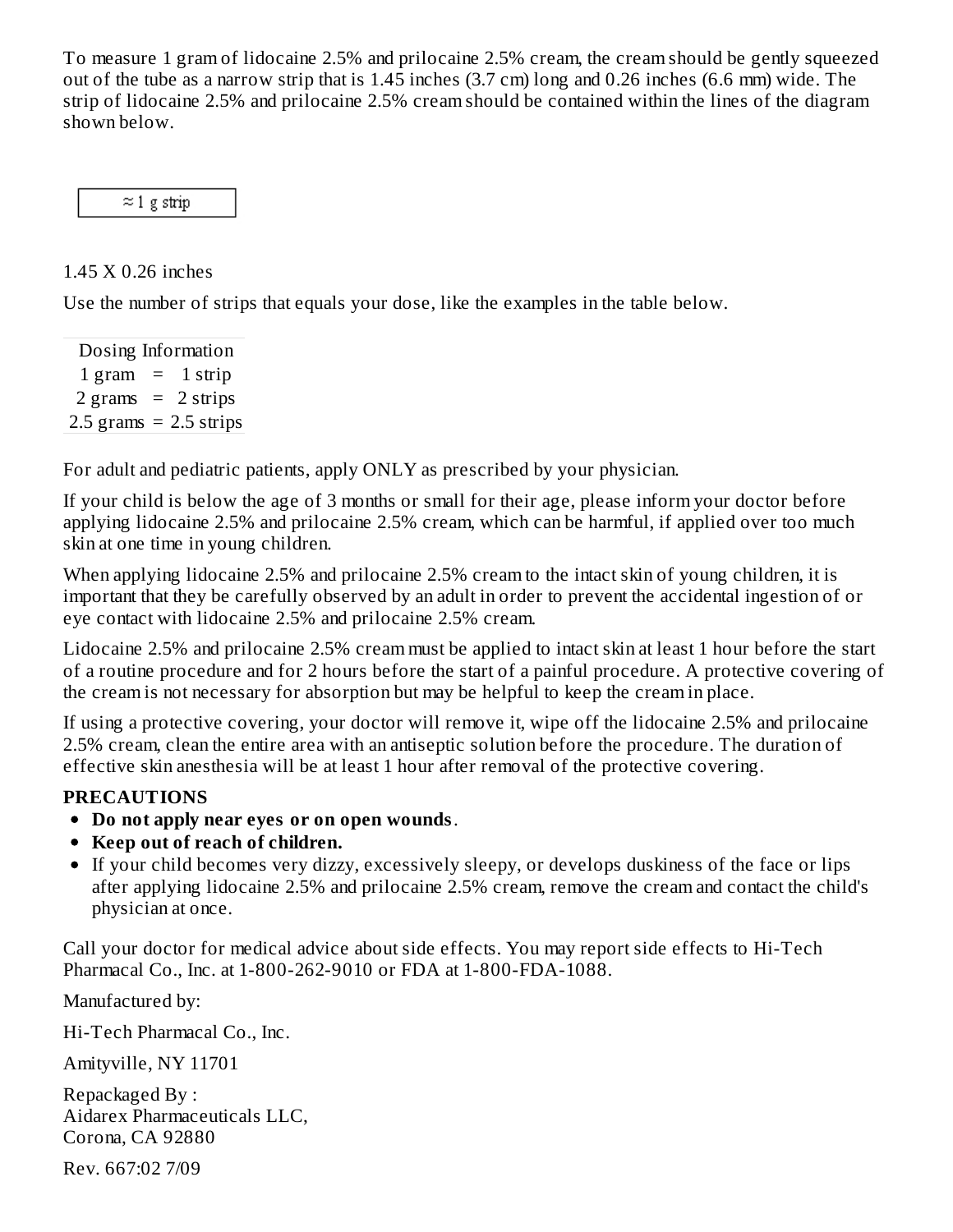To measure 1 gram of lidocaine 2.5% and prilocaine 2.5% cream, the cream should be gently squeezed out of the tube as a narrow strip that is 1.45 inches (3.7 cm) long and 0.26 inches (6.6 mm) wide. The strip of lidocaine 2.5% and prilocaine 2.5% cream should be contained within the lines of the diagram shown below.

 $\approx$  1 g strip

1.45 X 0.26 inches

Use the number of strips that equals your dose, like the examples in the table below.

Dosing Information  $1 \text{ gram} = 1 \text{ strip}$  $2 \text{ grams} = 2 \text{ strips}$  $2.5$  grams =  $2.5$  strips

For adult and pediatric patients, apply ONLY as prescribed by your physician.

If your child is below the age of 3 months or small for their age, please inform your doctor before applying lidocaine 2.5% and prilocaine 2.5% cream, which can be harmful, if applied over too much skin at one time in young children.

When applying lidocaine 2.5% and prilocaine 2.5% cream to the intact skin of young children, it is important that they be carefully observed by an adult in order to prevent the accidental ingestion of or eye contact with lidocaine 2.5% and prilocaine 2.5% cream.

Lidocaine 2.5% and prilocaine 2.5% cream must be applied to intact skin at least 1 hour before the start of a routine procedure and for 2 hours before the start of a painful procedure. A protective covering of the cream is not necessary for absorption but may be helpful to keep the cream in place.

If using a protective covering, your doctor will remove it, wipe off the lidocaine 2.5% and prilocaine 2.5% cream, clean the entire area with an antiseptic solution before the procedure. The duration of effective skin anesthesia will be at least 1 hour after removal of the protective covering.

# **PRECAUTIONS**

- **Do not apply near eyes or on open wounds**.
- **Keep out of reach of children.**
- If your child becomes very dizzy, excessively sleepy, or develops duskiness of the face or lips after applying lidocaine 2.5% and prilocaine 2.5% cream, remove the cream and contact the child's physician at once.

Call your doctor for medical advice about side effects. You may report side effects to Hi-Tech Pharmacal Co., Inc. at 1-800-262-9010 or FDA at 1-800-FDA-1088.

Manufactured by:

Hi-Tech Pharmacal Co., Inc.

Amityville, NY 11701

Repackaged By : Aidarex Pharmaceuticals LLC, Corona, CA 92880

Rev. 667:02 7/09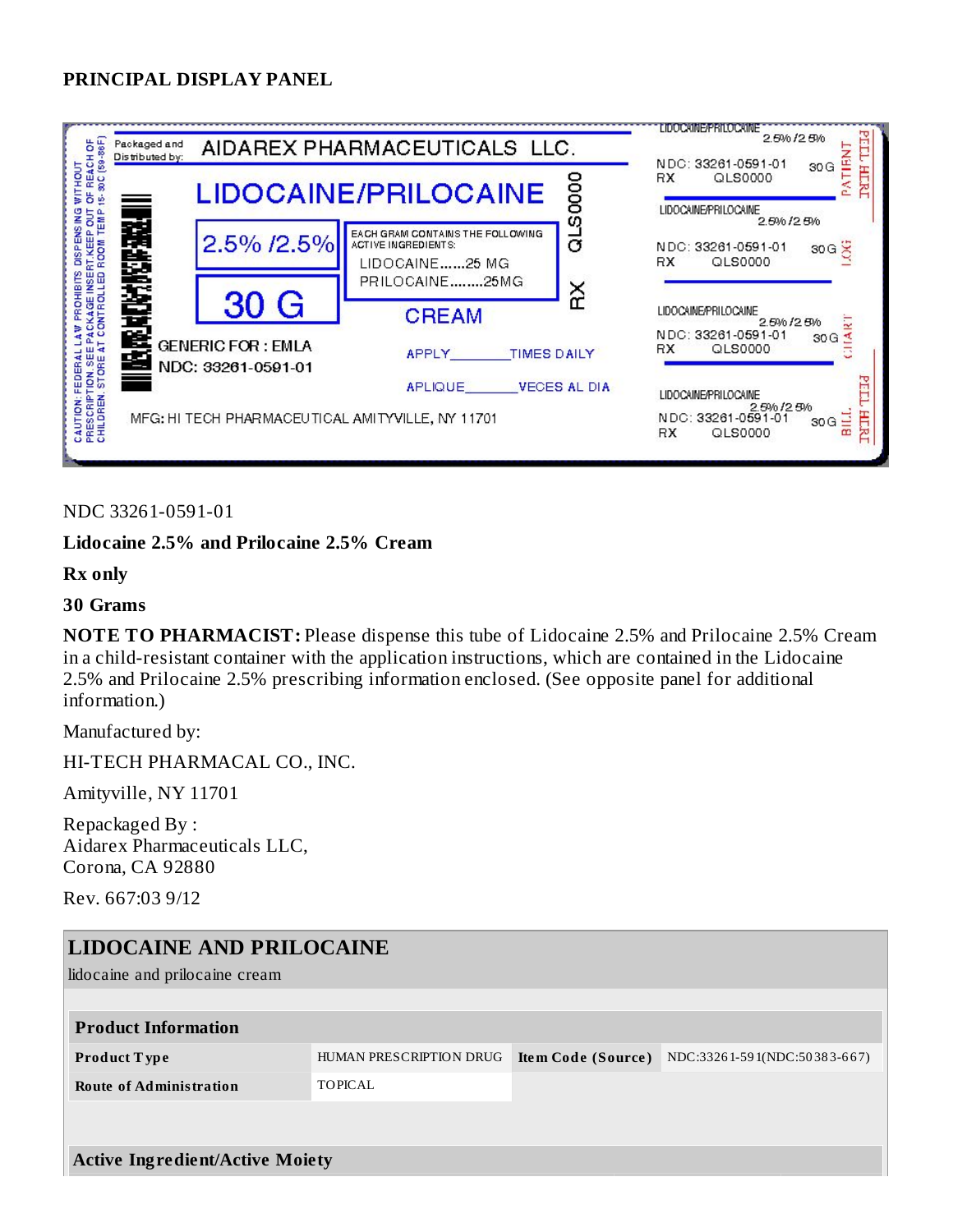#### **PRINCIPAL DISPLAY PANEL**

| FREACHOF<br>- 30C (59-86F)                                                                                                        | Packaged and<br>Distributed by: | AIDAREX PHARMACEUTICALS LLC.                   | <b>LIDOCAINEPRILOCAINE</b><br>胃<br>2.5% / 2.5%<br>⊢<br><b>TIEN</b><br>NDC: 33261-0591-01 |                     |                                                                                       |
|-----------------------------------------------------------------------------------------------------------------------------------|---------------------------------|------------------------------------------------|------------------------------------------------------------------------------------------|---------------------|---------------------------------------------------------------------------------------|
| WITHOUT<br>ă<br>é                                                                                                                 |                                 |                                                | <b>LIDOCAINE/PRILOCAINE</b>                                                              | 0000                | 30G<br>HLRU<br>RX.<br>QLS0000<br>ă<br>LIDOCAINE/PRILOCAINE<br>2.5% / 2.5%             |
| 出演の法典<br>2.5% /2.5%                                                                                                               |                                 |                                                | EACH GRAM CONTAINS THE FOLLOWING<br><b>ACTIVE INGREDIENTS:</b><br>LIDOCAINE25 MG         | aLSi                | NDC: 33261-0591-01<br>30G<br><b>RX</b><br>QLS0000                                     |
| CAUTION: FEDERAL LAW PROHIBITS DISPENSING<br>PRESCRIPTION: SEE PACKAGE INSERT.KEEP OUT<br>CHILDREN: STORE AT CONTROLLED ROOM TEMP |                                 | 30 G                                           | PRILOCAINE25MG<br>ΧŘ<br><b>CREAM</b>                                                     |                     | <b>LIDOCAINE/PRILOCAINE</b><br><b>ART</b><br>2.5% / 2.5%<br>NDC: 33261-0591-01<br>30G |
|                                                                                                                                   | 医齿                              | <b>GENERIC FOR: EMLA</b><br>NDC: 33261-0591-01 | <b>TIMES DAILY</b><br>APPLY<br>APLIQUE                                                   | <b>VECES AL DIA</b> | QLS0000<br>RX.<br>PГL<br><b>LIDOCAINE/PRILOCAINE</b>                                  |
| MFG: HI TECH PHARMACEUTICAL AMITYVILLE, NY 11701                                                                                  |                                 |                                                |                                                                                          |                     | 2.5% / 2.5%<br>Ξ<br>HLRL<br>NDC: 33261-0591-01<br>30G<br>œ<br>QLS0000<br>RX.          |

#### NDC 33261-0591-01

#### **Lidocaine 2.5% and Prilocaine 2.5% Cream**

#### **Rx only**

#### **30 Grams**

**NOTE TO PHARMACIST:** Please dispense this tube of Lidocaine 2.5% and Prilocaine 2.5% Cream in a child-resistant container with the application instructions, which are contained in the Lidocaine 2.5% and Prilocaine 2.5% prescribing information enclosed. (See opposite panel for additional information.)

Manufactured by:

HI-TECH PHARMACAL CO., INC.

Amityville, NY 11701

Repackaged By : Aidarex Pharmaceuticals LLC, Corona, CA 92880

Rev. 667:03 9/12

| <b>LIDOCAINE AND PRILOCAINE</b>        |                         |                           |                              |  |  |  |
|----------------------------------------|-------------------------|---------------------------|------------------------------|--|--|--|
| lidocaine and prilocaine cream         |                         |                           |                              |  |  |  |
|                                        |                         |                           |                              |  |  |  |
| <b>Product Information</b>             |                         |                           |                              |  |  |  |
| <b>Product Type</b>                    | HUMAN PRESCRIPTION DRUG | <b>Item Code (Source)</b> | NDC:33261-591(NDC:50383-667) |  |  |  |
| <b>Route of Administration</b>         | TOPICAL                 |                           |                              |  |  |  |
|                                        |                         |                           |                              |  |  |  |
|                                        |                         |                           |                              |  |  |  |
| <b>Active Ingredient/Active Moiety</b> |                         |                           |                              |  |  |  |